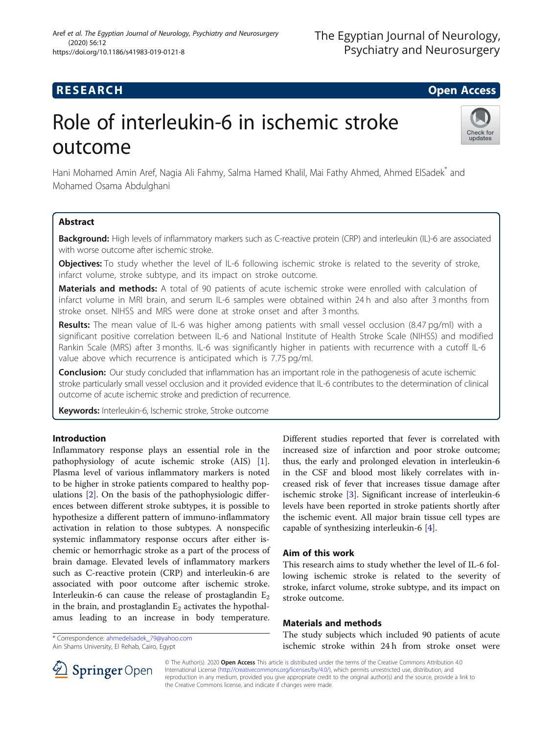# **RESEARCH CHILD CONTROL** CONTROL CONTROL CONTROL CONTROL CONTROL CONTROL CONTROL CONTROL CONTROL CONTROL CONTROL

Check for updates

# Role of interleukin-6 in ischemic stroke outcome

Hani Mohamed Amin Aref, Nagia Ali Fahmy, Salma Hamed Khalil, Mai Fathy Ahmed, Ahmed ElSadek\* and Mohamed Osama Abdulghani

# Abstract

Background: High levels of inflammatory markers such as C-reactive protein (CRP) and interleukin (IL)-6 are associated with worse outcome after ischemic stroke.

Objectives: To study whether the level of IL-6 following ischemic stroke is related to the severity of stroke, infarct volume, stroke subtype, and its impact on stroke outcome.

Materials and methods: A total of 90 patients of acute ischemic stroke were enrolled with calculation of infarct volume in MRI brain, and serum IL-6 samples were obtained within 24 h and also after 3 months from stroke onset. NIHSS and MRS were done at stroke onset and after 3 months.

Results: The mean value of IL-6 was higher among patients with small vessel occlusion (8.47 pg/ml) with a significant positive correlation between IL-6 and National Institute of Health Stroke Scale (NIHSS) and modified Rankin Scale (MRS) after 3 months. IL-6 was significantly higher in patients with recurrence with a cutoff IL-6 value above which recurrence is anticipated which is 7.75 pg/ml.

**Conclusion:** Our study concluded that inflammation has an important role in the pathogenesis of acute ischemic stroke particularly small vessel occlusion and it provided evidence that IL-6 contributes to the determination of clinical outcome of acute ischemic stroke and prediction of recurrence.

Keywords: Interleukin-6, Ischemic stroke, Stroke outcome

### Introduction

Inflammatory response plays an essential role in the pathophysiology of acute ischemic stroke (AIS) [\[1](#page-6-0)]. Plasma level of various inflammatory markers is noted to be higher in stroke patients compared to healthy populations [[2\]](#page-6-0). On the basis of the pathophysiologic differences between different stroke subtypes, it is possible to hypothesize a different pattern of immuno-inflammatory activation in relation to those subtypes. A nonspecific systemic inflammatory response occurs after either ischemic or hemorrhagic stroke as a part of the process of brain damage. Elevated levels of inflammatory markers such as C-reactive protein (CRP) and interleukin-6 are associated with poor outcome after ischemic stroke. Interleukin-6 can cause the release of prostaglandin  $E_2$ in the brain, and prostaglandin  $E_2$  activates the hypothalamus leading to an increase in body temperature.

\* Correspondence: [ahmedelsadek\\_79@yahoo.com](mailto:ahmedelsadek_79@yahoo.com) Ain Shams University, El Rehab, Cairo, Egypt

Different studies reported that fever is correlated with increased size of infarction and poor stroke outcome; thus, the early and prolonged elevation in interleukin-6 in the CSF and blood most likely correlates with increased risk of fever that increases tissue damage after ischemic stroke [\[3](#page-6-0)]. Significant increase of interleukin-6 levels have been reported in stroke patients shortly after the ischemic event. All major brain tissue cell types are capable of synthesizing interleukin-6 [[4\]](#page-6-0).

# Aim of this work

This research aims to study whether the level of IL-6 following ischemic stroke is related to the severity of stroke, infarct volume, stroke subtype, and its impact on stroke outcome.

### Materials and methods

The study subjects which included 90 patients of acute ischemic stroke within 24 h from stroke onset were



© The Author(s). 2020 Open Access This article is distributed under the terms of the Creative Commons Attribution 4.0 International License ([http://creativecommons.org/licenses/by/4.0/\)](http://creativecommons.org/licenses/by/4.0/), which permits unrestricted use, distribution, and reproduction in any medium, provided you give appropriate credit to the original author(s) and the source, provide a link to the Creative Commons license, and indicate if changes were made.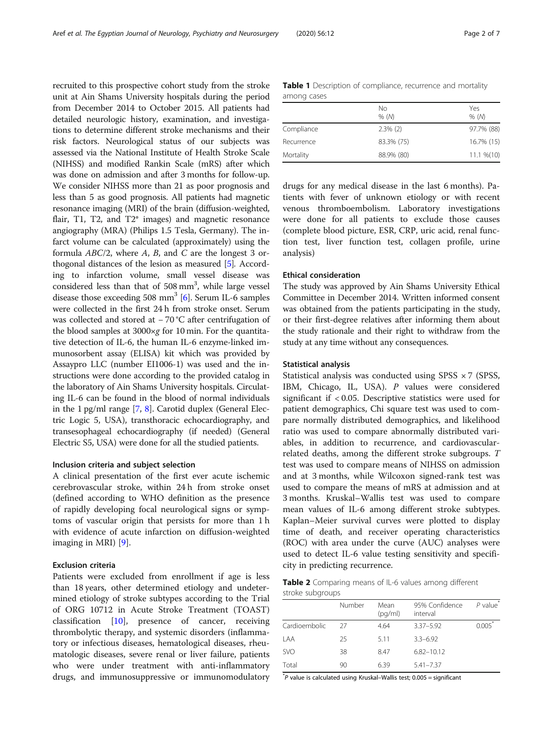<span id="page-1-0"></span>recruited to this prospective cohort study from the stroke unit at Ain Shams University hospitals during the period from December 2014 to October 2015. All patients had detailed neurologic history, examination, and investigations to determine different stroke mechanisms and their risk factors. Neurological status of our subjects was assessed via the National Institute of Health Stroke Scale (NIHSS) and modified Rankin Scale (mRS) after which was done on admission and after 3 months for follow-up. We consider NIHSS more than 21 as poor prognosis and less than 5 as good prognosis. All patients had magnetic resonance imaging (MRI) of the brain (diffusion-weighted, flair, T1, T2, and T2\* images) and magnetic resonance angiography (MRA) (Philips 1.5 Tesla, Germany). The infarct volume can be calculated (approximately) using the formula  $ABC/2$ , where A, B, and C are the longest 3 orthogonal distances of the lesion as measured [[5](#page-6-0)]. According to infarction volume, small vessel disease was considered less than that of 508 mm<sup>3</sup>, while large vessel disease those exceeding 508 mm<sup>3</sup> [\[6\]](#page-6-0). Serum IL-6 samples were collected in the first 24 h from stroke onset. Serum was collected and stored at − 70 °C after centrifugation of the blood samples at  $3000 \times g$  for 10 min. For the quantitative detection of IL-6, the human IL-6 enzyme-linked immunosorbent assay (ELISA) kit which was provided by Assaypro LLC (number EI1006-1) was used and the instructions were done according to the provided catalog in the laboratory of Ain Shams University hospitals. Circulating IL-6 can be found in the blood of normal individuals in the 1 pg/ml range [[7,](#page-6-0) [8\]](#page-6-0). Carotid duplex (General Electric Logic 5, USA), transthoracic echocardiography, and transesophageal echocardiography (if needed) (General Electric S5, USA) were done for all the studied patients.

#### Inclusion criteria and subject selection

A clinical presentation of the first ever acute ischemic cerebrovascular stroke, within 24 h from stroke onset (defined according to WHO definition as the presence of rapidly developing focal neurological signs or symptoms of vascular origin that persists for more than 1 h with evidence of acute infarction on diffusion-weighted imaging in MRI) [[9\]](#page-6-0).

#### Exclusion criteria

Patients were excluded from enrollment if age is less than 18 years, other determined etiology and undetermined etiology of stroke subtypes according to the Trial of ORG 10712 in Acute Stroke Treatment (TOAST) classification [[10\]](#page-6-0), presence of cancer, receiving thrombolytic therapy, and systemic disorders (inflammatory or infectious diseases, hematological diseases, rheumatologic diseases, severe renal or liver failure, patients who were under treatment with anti-inflammatory drugs, and immunosuppressive or immunomodulatory

|             | <b>Table 1</b> Description of compliance, recurrence and mortality |  |
|-------------|--------------------------------------------------------------------|--|
| among cases |                                                                    |  |

|            | No<br>% (M) | Yes<br>% (M)   |
|------------|-------------|----------------|
| Compliance | $2.3\%$ (2) | 97.7% (88)     |
| Recurrence | 83.3% (75)  | 16.7% (15)     |
| Mortality  | 88.9% (80)  | $11.1 \% (10)$ |

drugs for any medical disease in the last 6 months). Patients with fever of unknown etiology or with recent venous thromboembolism. Laboratory investigations were done for all patients to exclude those causes (complete blood picture, ESR, CRP, uric acid, renal function test, liver function test, collagen profile, urine analysis)

#### Ethical consideration

The study was approved by Ain Shams University Ethical Committee in December 2014. Written informed consent was obtained from the patients participating in the study, or their first-degree relatives after informing them about the study rationale and their right to withdraw from the study at any time without any consequences.

#### Statistical analysis

Statistical analysis was conducted using SPSS  $\times$  7 (SPSS, IBM, Chicago, IL, USA). P values were considered significant if < 0.05. Descriptive statistics were used for patient demographics, Chi square test was used to compare normally distributed demographics, and likelihood ratio was used to compare abnormally distributed variables, in addition to recurrence, and cardiovascularrelated deaths, among the different stroke subgroups. T test was used to compare means of NIHSS on admission and at 3 months, while Wilcoxon signed-rank test was used to compare the means of mRS at admission and at 3 months. Kruskal–Wallis test was used to compare mean values of IL-6 among different stroke subtypes. Kaplan–Meier survival curves were plotted to display time of death, and receiver operating characteristics (ROC) with area under the curve (AUC) analyses were used to detect IL-6 value testing sensitivity and specificity in predicting recurrence.

Table 2 Comparing means of IL-6 values among different stroke subgroups

|               | Number | Mean<br>(pq/ml) | 95% Confidence<br>interval | $P$ value <sup>*</sup> |
|---------------|--------|-----------------|----------------------------|------------------------|
| Cardioembolic | 27     | 4.64            | 3.37-5.92                  | $0.005*$               |
| LAA           | 25     | 5.11            | $3.3 - 6.92$               |                        |
| <b>SVO</b>    | 38     | 8.47            | $6.82 - 10.12$             |                        |
| Total         | 90     | 6.39            | $5.41 - 7.37$              |                        |

\* P value is calculated using Kruskal–Wallis test; 0.005 = significant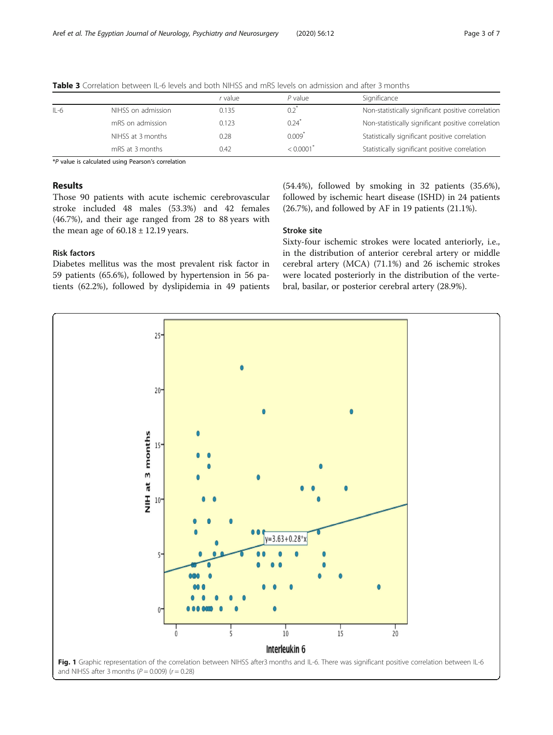|        |                    | r value | $P$ value            | Significance                                       |
|--------|--------------------|---------|----------------------|----------------------------------------------------|
| $IL-6$ | NIHSS on admission | 0.135   | 0.2                  | Non-statistically significant positive correlation |
|        | mRS on admission   | 0.123   | 0.24                 | Non-statistically significant positive correlation |
|        | NIHSS at 3 months  | 0.28    | $0.009$ <sup>*</sup> | Statistically significant positive correlation     |
|        | mRS at 3 months    | 0.42    | < 0.0001             | Statistically significant positive correlation     |

<span id="page-2-0"></span>Table 3 Correlation between IL-6 levels and both NIHSS and mRS levels on admission and after 3 months

\*P value is calculated using Pearson's correlation

#### Results

Those 90 patients with acute ischemic cerebrovascular stroke included 48 males (53.3%) and 42 females (46.7%), and their age ranged from 28 to 88 years with the mean age of  $60.18 \pm 12.19$  years.

#### Risk factors

Diabetes mellitus was the most prevalent risk factor in 59 patients (65.6%), followed by hypertension in 56 patients (62.2%), followed by dyslipidemia in 49 patients

(54.4%), followed by smoking in 32 patients (35.6%), followed by ischemic heart disease (ISHD) in 24 patients (26.7%), and followed by AF in 19 patients (21.1%).

#### Stroke site

Sixty-four ischemic strokes were located anteriorly, i.e., in the distribution of anterior cerebral artery or middle cerebral artery (MCA) (71.1%) and 26 ischemic strokes were located posteriorly in the distribution of the vertebral, basilar, or posterior cerebral artery (28.9%).

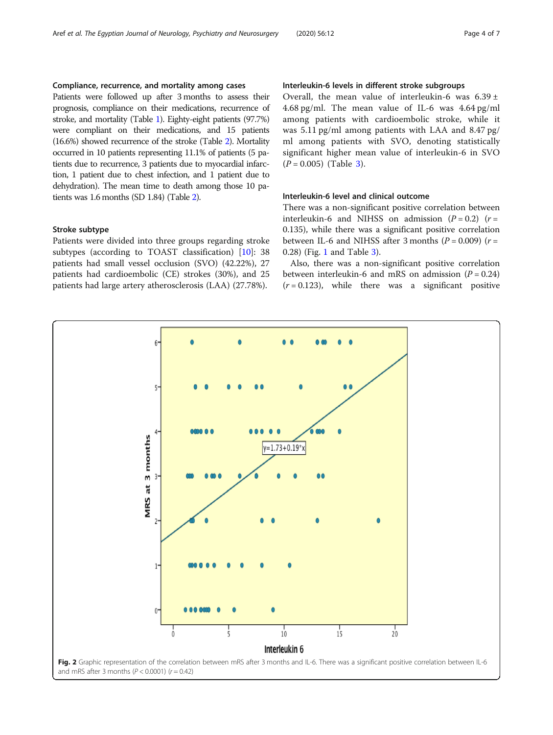#### <span id="page-3-0"></span>Compliance, recurrence, and mortality among cases

Patients were followed up after 3 months to assess their prognosis, compliance on their medications, recurrence of stroke, and mortality (Table [1](#page-1-0)). Eighty-eight patients (97.7%) were compliant on their medications, and 15 patients (16.6%) showed recurrence of the stroke (Table [2](#page-1-0)). Mortality occurred in 10 patients representing 11.1% of patients (5 patients due to recurrence, 3 patients due to myocardial infarction, 1 patient due to chest infection, and 1 patient due to dehydration). The mean time to death among those 10 patients was 1.6 months (SD 1.84) (Table [2\)](#page-1-0).

#### Stroke subtype

Patients were divided into three groups regarding stroke subtypes (according to TOAST classification) [\[10](#page-6-0)]: 38 patients had small vessel occlusion (SVO) (42.22%), 27 patients had cardioembolic (CE) strokes (30%), and 25 patients had large artery atherosclerosis (LAA) (27.78%).

#### Interleukin-6 levels in different stroke subgroups

Overall, the mean value of interleukin-6 was  $6.39 \pm$ 4.68 pg/ml. The mean value of IL-6 was 4.64 pg/ml among patients with cardioembolic stroke, while it was 5.11 pg/ml among patients with LAA and 8.47 pg/ ml among patients with SVO, denoting statistically significant higher mean value of interleukin-6 in SVO  $(P = 0.005)$  (Table [3](#page-2-0)).

#### Interleukin-6 level and clinical outcome

There was a non-significant positive correlation between interleukin-6 and NIHSS on admission  $(P = 0.2)$   $(r =$ 0.135), while there was a significant positive correlation between IL-6 and NIHSS after 3 months  $(P = 0.009)$  ( $r =$ 0.28) (Fig. [1](#page-2-0) and Table [3](#page-2-0)).

Also, there was a non-significant positive correlation between interleukin-6 and mRS on admission  $(P = 0.24)$  $(r = 0.123)$ , while there was a significant positive

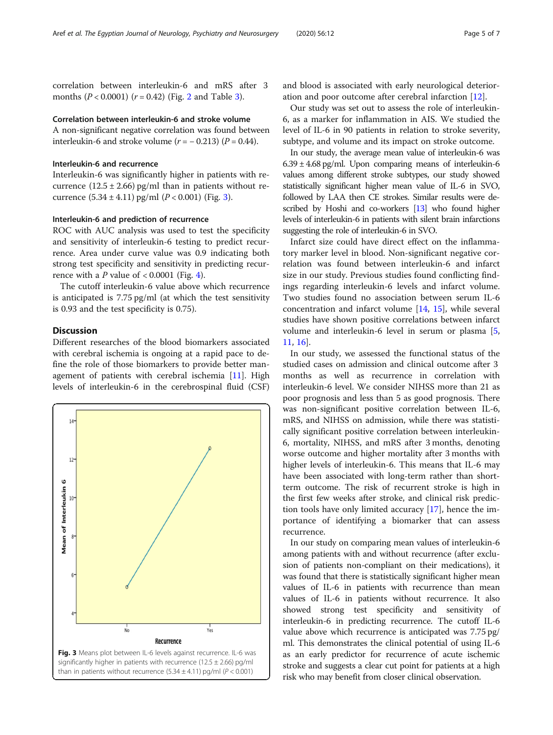correlation between interleukin-6 and mRS after 3 months ( $P < 0.0001$ ) ( $r = 0.42$  $r = 0.42$ ) (Fig. 2 and Table [3](#page-2-0)).

#### Correlation between interleukin-6 and stroke volume

A non-significant negative correlation was found between interleukin-6 and stroke volume  $(r = -0.213)$   $(P = 0.44)$ .

#### Interleukin-6 and recurrence

Interleukin-6 was significantly higher in patients with recurrence  $(12.5 \pm 2.66)$  pg/ml than in patients without recurrence  $(5.34 \pm 4.11)$  pg/ml  $(P < 0.001)$  (Fig. 3).

#### Interleukin-6 and prediction of recurrence

ROC with AUC analysis was used to test the specificity and sensitivity of interleukin-6 testing to predict recurrence. Area under curve value was 0.9 indicating both strong test specificity and sensitivity in predicting recurrence with a  $P$  value of < 0.0001 (Fig. [4](#page-5-0)).

The cutoff interleukin-6 value above which recurrence is anticipated is 7.75 pg/ml (at which the test sensitivity is 0.93 and the test specificity is 0.75).

#### **Discussion**

Different researches of the blood biomarkers associated with cerebral ischemia is ongoing at a rapid pace to define the role of those biomarkers to provide better management of patients with cerebral ischemia [\[11](#page-6-0)]. High levels of interleukin-6 in the cerebrospinal fluid (CSF)



and blood is associated with early neurological deterioration and poor outcome after cerebral infarction [[12](#page-6-0)].

Our study was set out to assess the role of interleukin-6, as a marker for inflammation in AIS. We studied the level of IL-6 in 90 patients in relation to stroke severity, subtype, and volume and its impact on stroke outcome.

In our study, the average mean value of interleukin-6 was  $6.39 \pm 4.68$  pg/ml. Upon comparing means of interleukin-6 values among different stroke subtypes, our study showed statistically significant higher mean value of IL-6 in SVO, followed by LAA then CE strokes. Similar results were described by Hoshi and co-workers [\[13](#page-6-0)] who found higher levels of interleukin-6 in patients with silent brain infarctions suggesting the role of interleukin-6 in SVO.

Infarct size could have direct effect on the inflammatory marker level in blood. Non-significant negative correlation was found between interleukin-6 and infarct size in our study. Previous studies found conflicting findings regarding interleukin-6 levels and infarct volume. Two studies found no association between serum IL-6 concentration and infarct volume [[14,](#page-6-0) [15](#page-6-0)], while several studies have shown positive correlations between infarct volume and interleukin-6 level in serum or plasma [\[5](#page-6-0), [11,](#page-6-0) [16](#page-6-0)].

In our study, we assessed the functional status of the studied cases on admission and clinical outcome after 3 months as well as recurrence in correlation with interleukin-6 level. We consider NIHSS more than 21 as poor prognosis and less than 5 as good prognosis. There was non-significant positive correlation between IL-6, mRS, and NIHSS on admission, while there was statistically significant positive correlation between interleukin-6, mortality, NIHSS, and mRS after 3 months, denoting worse outcome and higher mortality after 3 months with higher levels of interleukin-6. This means that IL-6 may have been associated with long-term rather than shortterm outcome. The risk of recurrent stroke is high in the first few weeks after stroke, and clinical risk prediction tools have only limited accuracy [[17\]](#page-6-0), hence the importance of identifying a biomarker that can assess recurrence.

In our study on comparing mean values of interleukin-6 among patients with and without recurrence (after exclusion of patients non-compliant on their medications), it was found that there is statistically significant higher mean values of IL-6 in patients with recurrence than mean values of IL-6 in patients without recurrence. It also showed strong test specificity and sensitivity of interleukin-6 in predicting recurrence. The cutoff IL-6 value above which recurrence is anticipated was 7.75 pg/ ml. This demonstrates the clinical potential of using IL-6 as an early predictor for recurrence of acute ischemic stroke and suggests a clear cut point for patients at a high risk who may benefit from closer clinical observation.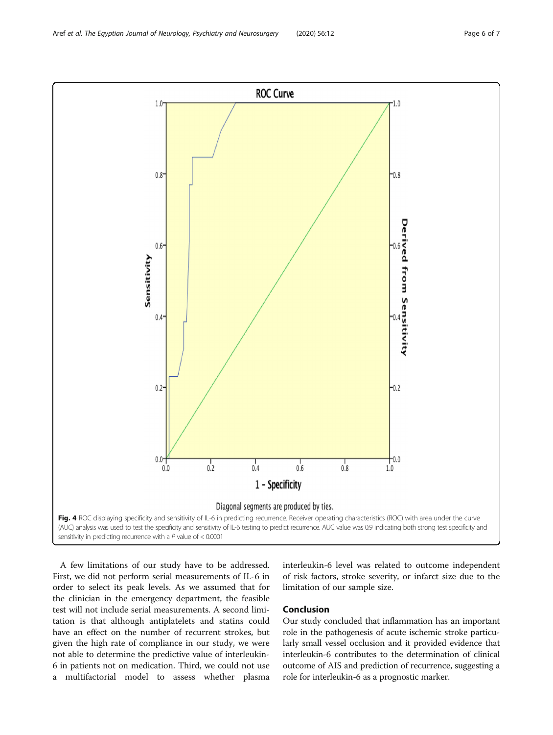A few limitations of our study have to be addressed. First, we did not perform serial measurements of IL-6 in order to select its peak levels. As we assumed that for the clinician in the emergency department, the feasible test will not include serial measurements. A second limitation is that although antiplatelets and statins could have an effect on the number of recurrent strokes, but given the high rate of compliance in our study, we were not able to determine the predictive value of interleukin-6 in patients not on medication. Third, we could not use a multifactorial model to assess whether plasma

interleukin-6 level was related to outcome independent of risk factors, stroke severity, or infarct size due to the limitation of our sample size.

#### Conclusion

Our study concluded that inflammation has an important role in the pathogenesis of acute ischemic stroke particularly small vessel occlusion and it provided evidence that interleukin-6 contributes to the determination of clinical outcome of AIS and prediction of recurrence, suggesting a role for interleukin-6 as a prognostic marker.

<span id="page-5-0"></span>